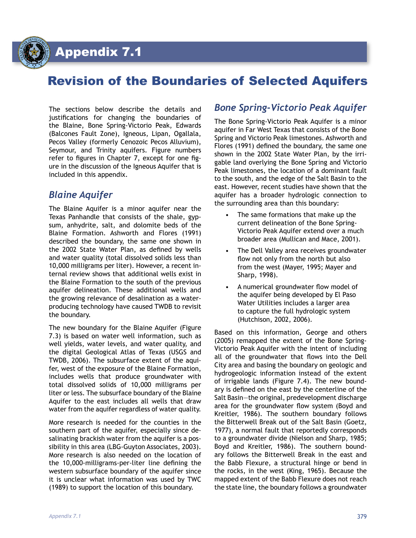Appendix 7.1

# Revision of the Boundaries of Selected Aquifers

The sections below describe the details and justifications for changing the boundaries of the Blaine, Bone Spring-Victorio Peak, Edwards (Balcones Fault Zone), Igneous, Lipan, Ogallala, Pecos Valley (formerly Cenozoic Pecos Alluvium), Seymour, and Trinity aquifers. Figure numbers refer to figures in Chapter 7, except for one figure in the discussion of the Igneous Aquifer that is included in this appendix.

### *Blaine Aquifer*

The Blaine Aquifer is a minor aquifer near the Texas Panhandle that consists of the shale, gypsum, anhydrite, salt, and dolomite beds of the Blaine Formation. Ashworth and Flores (1991) described the boundary, the same one shown in the 2002 State Water Plan, as defined by wells and water quality (total dissolved solids less than 10,000 milligrams per liter). However, a recent internal review shows that additional wells exist in the Blaine Formation to the south of the previous aquifer delineation. These additional wells and the growing relevance of desalination as a waterproducing technology have caused TWDB to revisit the boundary.

The new boundary for the Blaine Aquifer (Figure 7.3) is based on water well information, such as well yields, water levels, and water quality, and the digital Geological Atlas of Texas (USGS and TWDB, 2006). The subsurface extent of the aquifer, west of the exposure of the Blaine Formation, includes wells that produce groundwater with total dissolved solids of 10,000 milligrams per liter or less. The subsurface boundary of the Blaine Aquifer to the east includes all wells that draw water from the aquifer regardless of water quality.

More research is needed for the counties in the southern part of the aquifer, especially since desalinating brackish water from the aquifer is a possibility in this area (LBG-Guyton Associates, 2003). More research is also needed on the location of the 10,000-milligrams-per-liter line defining the western subsurface boundary of the aquifer since it is unclear what information was used by TWC (1989) to support the location of this boundary.

#### *Bone Spring-Victorio Peak Aquifer*

The Bone Spring-Victorio Peak Aquifer is a minor aquifer in Far West Texas that consists of the Bone Spring and Victorio Peak limestones. Ashworth and Flores (1991) defined the boundary, the same one shown in the 2002 State Water Plan, by the irrigable land overlying the Bone Spring and Victorio Peak limestones, the location of a dominant fault to the south, and the edge of the Salt Basin to the east. However, recent studies have shown that the aquifer has a broader hydrologic connection to the surrounding area than this boundary:

- The same formations that make up the current delineation of the Bone Spring-Victorio Peak Aquifer extend over a much broader area (Mullican and Mace, 2001).
- The Dell Valley area receives groundwater flow not only from the north but also from the west (Mayer, 1995; Mayer and Sharp, 1998).
- A numerical groundwater flow model of the aquifer being developed by El Paso Water Utilities includes a larger area to capture the full hydrologic system (Hutchison, 2002, 2006).

Based on this information, George and others (2005) remapped the extent of the Bone Spring-Victorio Peak Aquifer with the intent of including all of the groundwater that flows into the Dell City area and basing the boundary on geologic and hydrogeologic information instead of the extent of irrigable lands (Figure 7.4). The new boundary is defined on the east by the centerline of the Salt Basin—the original, predevelopment discharge area for the groundwater flow system (Boyd and Kreitler, 1986). The southern boundary follows the Bitterwell Break out of the Salt Basin (Goetz, 1977), a normal fault that reportedly corresponds to a groundwater divide (Nielson and Sharp, 1985; Boyd and Kreitler, 1986). The southern boundary follows the Bitterwell Break in the east and the Babb Flexure, a structural hinge or bend in the rocks, in the west (King, 1965). Because the mapped extent of the Babb Flexure does not reach the state line, the boundary follows a groundwater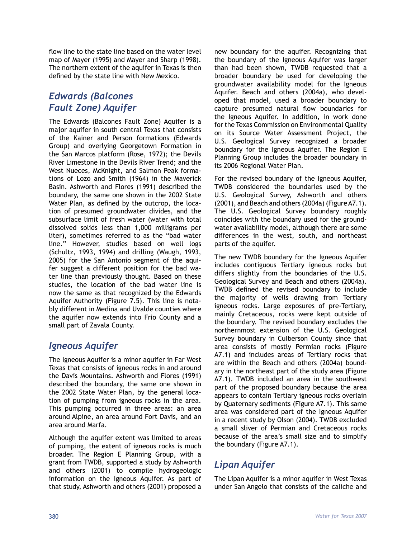flow line to the state line based on the water level map of Mayer (1995) and Mayer and Sharp (1998). The northern extent of the aquifer in Texas is then defined by the state line with New Mexico.

### *Edwards (Balcones Fault Zone) Aquifer*

The Edwards (Balcones Fault Zone) Aquifer is a major aquifer in south central Texas that consists of the Kainer and Person formations (Edwards Group) and overlying Georgetown Formation in the San Marcos platform (Rose, 1972); the Devils River Limestone in the Devils River Trend; and the West Nueces, McKnight, and Salmon Peak formations of Lozo and Smith (1964) in the Maverick Basin. Ashworth and Flores (1991) described the boundary, the same one shown in the 2002 State Water Plan, as defined by the outcrop, the location of presumed groundwater divides, and the subsurface limit of fresh water (water with total dissolved solids less than 1,000 milligrams per liter), sometimes referred to as the "bad water line." However, studies based on well logs (Schultz, 1993, 1994) and drilling (Waugh, 1993, 2005) for the San Antonio segment of the aquifer suggest a different position for the bad water line than previously thought. Based on these studies, the location of the bad water line is now the same as that recognized by the Edwards Aquifer Authority (Figure 7.5). This line is notably different in Medina and Uvalde counties where the aquifer now extends into Frio County and a small part of Zavala County.

#### *Igneous Aquifer*

The Igneous Aquifer is a minor aquifer in Far West Texas that consists of igneous rocks in and around the Davis Mountains. Ashworth and Flores (1991) described the boundary, the same one shown in the 2002 State Water Plan, by the general location of pumping from igneous rocks in the area. This pumping occurred in three areas: an area around Alpine, an area around Fort Davis, and an area around Marfa.

Although the aquifer extent was limited to areas of pumping, the extent of igneous rocks is much broader. The Region E Planning Group, with a grant from TWDB, supported a study by Ashworth and others (2001) to compile hydrogeologic information on the Igneous Aquifer. As part of that study, Ashworth and others (2001) proposed a

new boundary for the aquifer. Recognizing that the boundary of the Igneous Aquifer was larger than had been shown, TWDB requested that a broader boundary be used for developing the groundwater availability model for the Igneous Aquifer. Beach and others (2004a), who developed that model, used a broader boundary to capture presumed natural flow boundaries for the Igneous Aquifer. In addition, in work done for the Texas Commission on Environmental Quality on its Source Water Assessment Project, the U.S. Geological Survey recognized a broader boundary for the Igneous Aquifer. The Region E Planning Group includes the broader boundary in its 2006 Regional Water Plan.

For the revised boundary of the Igneous Aquifer, TWDB considered the boundaries used by the U.S. Geological Survey, Ashworth and others (2001), and Beach and others (2004a) (Figure A7.1). The U.S. Geological Survey boundary roughly coincides with the boundary used for the groundwater availability model, although there are some differences in the west, south, and northeast parts of the aquifer.

The new TWDB boundary for the Igneous Aquifer includes contiguous Tertiary igneous rocks but differs slightly from the boundaries of the U.S. Geological Survey and Beach and others (2004a). TWDB defined the revised boundary to include the majority of wells drawing from Tertiary igneous rocks. Large exposures of pre-Tertiary, mainly Cretaceous, rocks were kept outside of the boundary. The revised boundary excludes the northernmost extension of the U.S. Geological Survey boundary in Culberson County since that area consists of mostly Permian rocks (Figure A7.1) and includes areas of Tertiary rocks that are within the Beach and others (2004a) boundary in the northeast part of the study area (Figure A7.1). TWDB included an area in the southwest part of the proposed boundary because the area appears to contain Tertiary igneous rocks overlain by Quaternary sediments (Figure A7.1). This same area was considered part of the Igneous Aquifer in a recent study by Olson (2004). TWDB excluded a small sliver of Permian and Cretaceous rocks because of the area's small size and to simplify the boundary (Figure A7.1).

### *Lipan Aquifer*

The Lipan Aquifer is a minor aquifer in West Texas under San Angelo that consists of the caliche and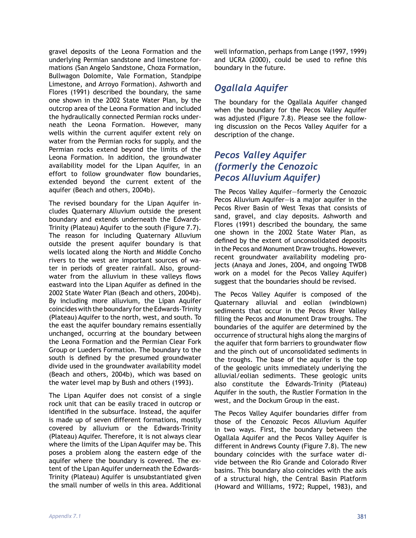gravel deposits of the Leona Formation and the underlying Permian sandstone and limestone formations (San Angelo Sandstone, Choza Formation, Bullwagon Dolomite, Vale Formation, Standpipe Limestone, and Arroyo Formation). Ashworth and Flores (1991) described the boundary, the same one shown in the 2002 State Water Plan, by the outcrop area of the Leona Formation and included the hydraulically connected Permian rocks underneath the Leona Formation. However, many wells within the current aquifer extent rely on water from the Permian rocks for supply, and the Permian rocks extend beyond the limits of the Leona Formation. In addition, the groundwater availability model for the Lipan Aquifer, in an effort to follow groundwater flow boundaries, extended beyond the current extent of the aquifer (Beach and others, 2004b).

The revised boundary for the Lipan Aquifer includes Quaternary Alluvium outside the present boundary and extends underneath the Edwards-Trinity (Plateau) Aquifer to the south (Figure 7.7). The reason for including Quaternary Alluvium outside the present aquifer boundary is that wells located along the North and Middle Concho rivers to the west are important sources of water in periods of greater rainfall. Also, groundwater from the alluvium in these valleys flows eastward into the Lipan Aquifer as defined in the 2002 State Water Plan (Beach and others, 2004b). By including more alluvium, the Lipan Aquifer coincides with the boundary for the Edwards-Trinity (Plateau) Aquifer to the north, west, and south. To the east the aquifer boundary remains essentially unchanged, occurring at the boundary between the Leona Formation and the Permian Clear Fork Group or Lueders Formation. The boundary to the south is defined by the presumed groundwater divide used in the groundwater availability model (Beach and others, 2004b), which was based on the water level map by Bush and others (1993).

The Lipan Aquifer does not consist of a single rock unit that can be easily traced in outcrop or identified in the subsurface. Instead, the aquifer is made up of seven different formations, mostly covered by alluvium or the Edwards-Trinity (Plateau) Aquifer. Therefore, it is not always clear where the limits of the Lipan Aquifer may be. This poses a problem along the eastern edge of the aquifer where the boundary is covered. The extent of the Lipan Aquifer underneath the Edwards-Trinity (Plateau) Aquifer is unsubstantiated given the small number of wells in this area. Additional well information, perhaps from Lange (1997, 1999) and UCRA (2000), could be used to refine this boundary in the future.

### *Ogallala Aquifer*

The boundary for the Ogallala Aquifer changed when the boundary for the Pecos Valley Aquifer was adjusted (Figure 7.8). Please see the following discussion on the Pecos Valley Aquifer for a description of the change.

#### *Pecos Valley Aquifer (formerly the Cenozoic Pecos Alluvium Aquifer)*

The Pecos Valley Aquifer—formerly the Cenozoic Pecos Alluvium Aquifer—is a major aquifer in the Pecos River Basin of West Texas that consists of sand, gravel, and clay deposits. Ashworth and Flores (1991) described the boundary, the same one shown in the 2002 State Water Plan, as defined by the extent of unconsolidated deposits in the Pecos and Monument Draw troughs. However, recent groundwater availability modeling projects (Anaya and Jones, 2004, and ongoing TWDB work on a model for the Pecos Valley Aquifer) suggest that the boundaries should be revised.

The Pecos Valley Aquifer is composed of the Quaternary alluvial and eolian (windblown) sediments that occur in the Pecos River Valley filling the Pecos and Monument Draw troughs. The boundaries of the aquifer are determined by the occurrence of structural highs along the margins of the aquifer that form barriers to groundwater flow and the pinch out of unconsolidated sediments in the troughs. The base of the aquifer is the top of the geologic units immediately underlying the alluvial/eolian sediments. These geologic units also constitute the Edwards-Trinity (Plateau) Aquifer in the south, the Rustler Formation in the west, and the Dockum Group in the east.

The Pecos Valley Aquifer boundaries differ from those of the Cenozoic Pecos Alluvium Aquifer in two ways. First, the boundary between the Ogallala Aquifer and the Pecos Valley Aquifer is different in Andrews County (Figure 7.8). The new boundary coincides with the surface water divide between the Rio Grande and Colorado River basins. This boundary also coincides with the axis of a structural high, the Central Basin Platform (Howard and Williams, 1972; Ruppel, 1983), and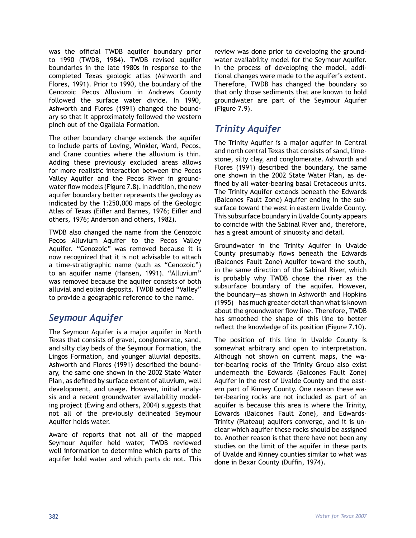was the official TWDB aquifer boundary prior to 1990 (TWDB, 1984). TWDB revised aquifer boundaries in the late 1980s in response to the completed Texas geologic atlas (Ashworth and Flores, 1991). Prior to 1990, the boundary of the Cenozoic Pecos Alluvium in Andrews County followed the surface water divide. In 1990, Ashworth and Flores (1991) changed the boundary so that it approximately followed the western pinch out of the Ogallala Formation.

The other boundary change extends the aquifer to include parts of Loving, Winkler, Ward, Pecos, and Crane counties where the alluvium is thin. Adding these previously excluded areas allows for more realistic interaction between the Pecos Valley Aquifer and the Pecos River in groundwater flow models (Figure 7.8). In addition, the new aquifer boundary better represents the geology as indicated by the 1:250,000 maps of the Geologic Atlas of Texas (Eifler and Barnes, 1976; Eifler and others, 1976; Anderson and others, 1982).

TWDB also changed the name from the Cenozoic Pecos Alluvium Aquifer to the Pecos Valley Aquifer. "Cenozoic" was removed because it is now recognized that it is not advisable to attach a time-stratigraphic name (such as "Cenozoic") to an aquifer name (Hansen, 1991). "Alluvium" was removed because the aquifer consists of both alluvial and eolian deposits. TWDB added "Valley" to provide a geographic reference to the name.

#### *Seymour Aquifer*

The Seymour Aquifer is a major aquifer in North Texas that consists of gravel, conglomerate, sand, and silty clay beds of the Seymour Formation, the Lingos Formation, and younger alluvial deposits. Ashworth and Flores (1991) described the boundary, the same one shown in the 2002 State Water Plan, as defined by surface extent of alluvium, well development, and usage. However, initial analysis and a recent groundwater availability modeling project (Ewing and others, 2004) suggests that not all of the previously delineated Seymour Aquifer holds water.

Aware of reports that not all of the mapped Seymour Aquifer held water, TWDB reviewed well information to determine which parts of the aquifer hold water and which parts do not. This

review was done prior to developing the groundwater availability model for the Seymour Aquifer. In the process of developing the model, additional changes were made to the aquifer's extent. Therefore, TWDB has changed the boundary so that only those sediments that are known to hold groundwater are part of the Seymour Aquifer (Figure 7.9).

## *Trinity Aquifer*

The Trinity Aquifer is a major aquifer in Central and north central Texas that consists of sand, limestone, silty clay, and conglomerate. Ashworth and Flores (1991) described the boundary, the same one shown in the 2002 State Water Plan, as defined by all water-bearing basal Cretaceous units. The Trinity Aquifer extends beneath the Edwards (Balcones Fault Zone) Aquifer ending in the subsurface toward the west in eastern Uvalde County. This subsurface boundary in Uvalde County appears to coincide with the Sabinal River and, therefore, has a great amount of sinuosity and detail.

Groundwater in the Trinity Aquifer in Uvalde County presumably flows beneath the Edwards (Balcones Fault Zone) Aquifer toward the south, in the same direction of the Sabinal River, which is probably why TWDB chose the river as the subsurface boundary of the aquifer. However, the boundary—as shown in Ashworth and Hopkins (1995)—has much greater detail than what is known about the groundwater flow line. Therefore, TWDB has smoothed the shape of this line to better reflect the knowledge of its position (Figure 7.10).

The position of this line in Uvalde County is somewhat arbitrary and open to interpretation. Although not shown on current maps, the water-bearing rocks of the Trinity Group also exist underneath the Edwards (Balcones Fault Zone) Aquifer in the rest of Uvalde County and the eastern part of Kinney County. One reason these water-bearing rocks are not included as part of an aquifer is because this area is where the Trinity, Edwards (Balcones Fault Zone), and Edwards-Trinity (Plateau) aquifers converge, and it is unclear which aquifer these rocks should be assigned to. Another reason is that there have not been any studies on the limit of the aquifer in these parts of Uvalde and Kinney counties similar to what was done in Bexar County (Duffin, 1974).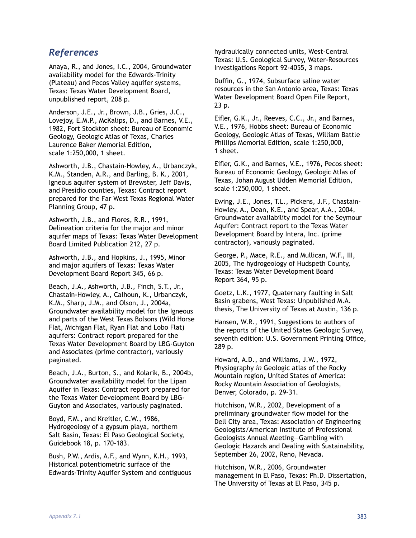#### *References*

Anaya, R., and Jones, I.C., 2004, Groundwater availability model for the Edwards-Trinity (Plateau) and Pecos Valley aquifer systems, Texas: Texas Water Development Board, unpublished report, 208 p.

Anderson, J.E., Jr., Brown, J.B., Gries, J.C., Lovejoy, E.M.P., McKalips, D., and Barnes, V.E., 1982, Fort Stockton sheet: Bureau of Economic Geology, Geologic Atlas of Texas, Charles Laurence Baker Memorial Edition, scale 1:250,000, 1 sheet.

Ashworth, J.B., Chastain-Howley, A., Urbanczyk, K.M., Standen, A.R., and Darling, B. K., 2001, Igneous aquifer system of Brewster, Jeff Davis, and Presidio counties, Texas: Contract report prepared for the Far West Texas Regional Water Planning Group, 47 p.

Ashworth, J.B., and Flores, R.R., 1991, Delineation criteria for the major and minor aquifer maps of Texas: Texas Water Development Board Limited Publication 212, 27 p.

Ashworth, J.B., and Hopkins, J., 1995, Minor and major aquifers of Texas: Texas Water Development Board Report 345, 66 p.

Beach, J.A., Ashworth, J.B., Finch, S.T., Jr., Chastain-Howley, A., Calhoun, K., Urbanczyk, K.M., Sharp, J.M., and Olson, J., 2004a, Groundwater availability model for the Igneous and parts of the West Texas Bolsons (Wild Horse Flat, Michigan Flat, Ryan Flat and Lobo Flat) aquifers: Contract report prepared for the Texas Water Development Board by LBG-Guyton and Associates (prime contractor), variously paginated.

Beach, J.A., Burton, S., and Kolarik, B., 2004b, Groundwater availability model for the Lipan Aquifer in Texas: Contract report prepared for the Texas Water Development Board by LBG-Guyton and Associates, variously paginated.

Boyd, F.M., and Kreitler, C.W., 1986, Hydrogeology of a gypsum playa, northern Salt Basin, Texas: El Paso Geological Society, Guidebook 18, p. 170–183.

Bush, P.W., Ardis, A.F., and Wynn, K.H., 1993, Historical potentiometric surface of the Edwards-Trinity Aquifer System and contiguous hydraulically connected units, West-Central Texas: U.S. Geological Survey, Water-Resources Investigations Report 92-4055, 3 maps.

Duffin, G., 1974, Subsurface saline water resources in the San Antonio area, Texas: Texas Water Development Board Open File Report, 23 p.

Eifler, G.K., Jr., Reeves, C.C., Jr., and Barnes, V.E., 1976, Hobbs sheet: Bureau of Economic Geology, Geologic Atlas of Texas, William Battle Phillips Memorial Edition, scale 1:250,000, 1 sheet.

Eifler, G.K., and Barnes, V.E., 1976, Pecos sheet: Bureau of Economic Geology, Geologic Atlas of Texas, Johan August Udden Memorial Edition, scale 1:250,000, 1 sheet.

Ewing, J.E., Jones, T.L., Pickens, J.F., Chastain-Howley, A., Dean, K.E., and Spear, A.A., 2004, Groundwater availability model for the Seymour Aquifer: Contract report to the Texas Water Development Board by Intera, Inc. (prime contractor), variously paginated.

George, P., Mace, R.E., and Mullican, W.F., III, 2005, The hydrogeology of Hudspeth County, Texas: Texas Water Development Board Report 364, 95 p.

Goetz, L.K., 1977, Quaternary faulting in Salt Basin grabens, West Texas: Unpublished M.A. thesis, The University of Texas at Austin, 136 p.

Hansen, W.R., 1991, Suggestions to authors of the reports of the United States Geologic Survey, seventh edition: U.S. Government Printing Office, 289 p.

Howard, A.D., and Williams, J.W., 1972, Physiography *in* Geologic atlas of the Rocky Mountain region, United States of America: Rocky Mountain Association of Geologists, Denver, Colorado, p. 29–31.

Hutchison, W.R., 2002, Development of a preliminary groundwater flow model for the Dell City area, Texas: Association of Engineering Geologists/American Institute of Professional Geologists Annual Meeting—Gambling with Geologic Hazards and Dealing with Sustainability, September 26, 2002, Reno, Nevada.

Hutchison, W.R., 2006, Groundwater management in El Paso, Texas: Ph.D. Dissertation, The University of Texas at El Paso, 345 p.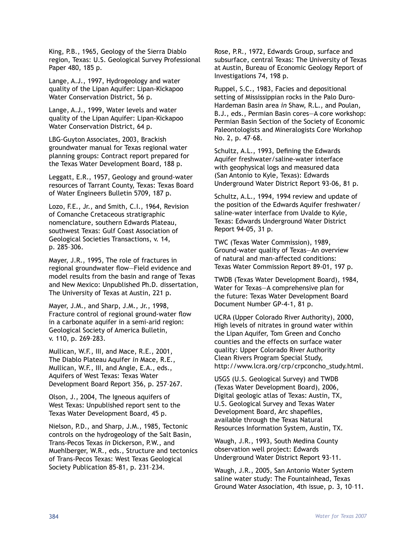King, P.B., 1965, Geology of the Sierra Diablo region, Texas: U.S. Geological Survey Professional Paper 480, 185 p.

Lange, A.J., 1997, Hydrogeology and water quality of the Lipan Aquifer: Lipan-Kickapoo Water Conservation District, 56 p.

Lange, A.J., 1999, Water levels and water quality of the Lipan Aquifer: Lipan-Kickapoo Water Conservation District, 64 p.

LBG-Guyton Associates, 2003, Brackish groundwater manual for Texas regional water planning groups: Contract report prepared for the Texas Water Development Board, 188 p.

Leggatt, E.R., 1957, Geology and ground-water resources of Tarrant County, Texas: Texas Board of Water Engineers Bulletin 5709, 187 p.

Lozo, F.E., Jr., and Smith, C.I., 1964, Revision of Comanche Cretaceous stratigraphic nomenclature, southern Edwards Plateau, southwest Texas: Gulf Coast Association of Geological Societies Transactions, v. 14, p. 285–306.

Mayer, J.R., 1995, The role of fractures in regional groundwater flow—Field evidence and model results from the basin and range of Texas and New Mexico: Unpublished Ph.D. dissertation, The University of Texas at Austin, 221 p.

Mayer, J.M., and Sharp, J.M., Jr., 1998, Fracture control of regional ground-water flow in a carbonate aquifer in a semi-arid region: Geological Society of America Bulletin, v. 110, p. 269–283.

Mullican, W.F., III, and Mace, R.E., 2001, The Diablo Plateau Aquifer *in* Mace, R.E., Mullican, W.F., III, and Angle, E.A., eds., Aquifers of West Texas: Texas Water Development Board Report 356, p. 257–267.

Olson, J., 2004, The Igneous aquifers of West Texas: Unpublished report sent to the Texas Water Development Board, 45 p.

Nielson, P.D., and Sharp, J.M., 1985, Tectonic controls on the hydrogeology of the Salt Basin, Trans-Pecos Texas *in* Dickerson, P.W., and Muehlberger, W.R., eds., Structure and tectonics of Trans-Pecos Texas: West Texas Geological Society Publication 85-81, p. 231–234.

Rose, P.R., 1972, Edwards Group, surface and subsurface, central Texas: The University of Texas at Austin, Bureau of Economic Geology Report of Investigations 74, 198 p.

Ruppel, S.C., 1983, Facies and depositional setting of Mississippian rocks in the Palo Duro-Hardeman Basin area *in* Shaw, R.L., and Poulan, B.J., eds., Permian Basin cores—A core workshop: Permian Basin Section of the Society of Economic Paleontologists and Mineralogists Core Workshop No. 2, p. 47–68.

Schultz, A.L., 1993, Defining the Edwards Aquifer freshwater/saline-water interface with geophysical logs and measured data (San Antonio to Kyle, Texas): Edwards Underground Water District Report 93-06, 81 p.

Schultz, A.L., 1994, 1994 review and update of the position of the Edwards Aquifer freshwater/ saline-water interface from Uvalde to Kyle, Texas: Edwards Underground Water District Report 94-05, 31 p.

TWC (Texas Water Commission), 1989, Ground-water quality of Texas—An overview of natural and man-affected conditions: Texas Water Commission Report 89-01, 197 p.

TWDB (Texas Water Development Board), 1984, Water for Texas—A comprehensive plan for the future: Texas Water Development Board Document Number GP-4-1, 81 p.

UCRA (Upper Colorado River Authority), 2000, High levels of nitrates in ground water within the Lipan Aquifer, Tom Green and Concho counties and the effects on surface water quality: Upper Colorado River Authority Clean Rivers Program Special Study, http://www.lcra.org/crp/crpconcho\_study.html.

USGS (U.S. Geological Survey) and TWDB (Texas Water Development Board), 2006, Digital geologic atlas of Texas: Austin, TX, U.S. Geological Survey and Texas Water Development Board, Arc shapefiles, available through the Texas Natural Resources Information System, Austin, TX.

Waugh, J.R., 1993, South Medina County observation well project: Edwards Underground Water District Report 93-11.

Waugh, J.R., 2005, San Antonio Water System saline water study: The Fountainhead, Texas Ground Water Association, 4th issue, p. 3, 10–11.